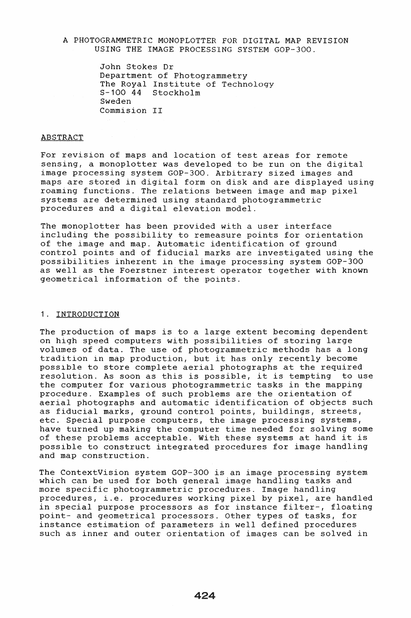### A PHOTOGRAMMETRIC MONOPLOTTER FOR DIGITAL MAP REVISION USING THE IMAGE PROCESSING SYSTEM GOP-300.

John Stokes Dr Department of Photogrammetry The Royal Institute of Technology<br>S-100 44 Stockholm Stockholm Sweden Commision II

#### ABSTRACT

For revision of maps and location of test areas for remote sensing, a monoplotter was developed to be run on the digital image processing system GOP-300. Arbitrary sized images and maps are stored in digital form on disk and are displayed using roaming functions. The relations between image and map pixel systems are determined using standard photogrammetric procedures and a digital elevation model.

The monoplotter has been provided with a user interface including the possibility to remeasure points for orientation of the image and map. Automatic identification of ground control points and of fiducial marks are investigated using the possibilities inherent in the image processing system GOP-300 as well as the Foerstner interest operator together with known geometrical information of the points.

## 1. INTRODUCTION

The production of maps is to a large extent becoming dependent on high speed computers with possibilities of storing large volumes of data. The use of photogrammetric methods has a long tradition in map production, but it has only recently become possible to store complete aerial photographs at the required<br>resolution. As soon as this is possible, it is tempting to use resolution. As soon as this is possible, it is tempting the computer for various photogrammetric tasks in the mapping procedure. Examples of such problems are the orientation of aerial photographs and automatic identification of objects such as fiducial marks, ground control points, buildings, streets, etc. Special purpose computers, the image processing systems, have turned up making the computer time needed for solving some of these problems acceptable. With these systems at hand it is possible to construct integrated procedures for image handling and map construction.

The ContextVision system GOP-300 is an image processing system which can be used for both general image handling tasks and more specific photogrammetric procedures. Image handling procedures, i.e. procedures working pixel by pixel, are handled in special purpose processors as for instance filter-, floating point- and geometrical processors. Other types of tasks, for instance estimation of parameters in well defined procedures such as inner and outer orientation of images can be solved in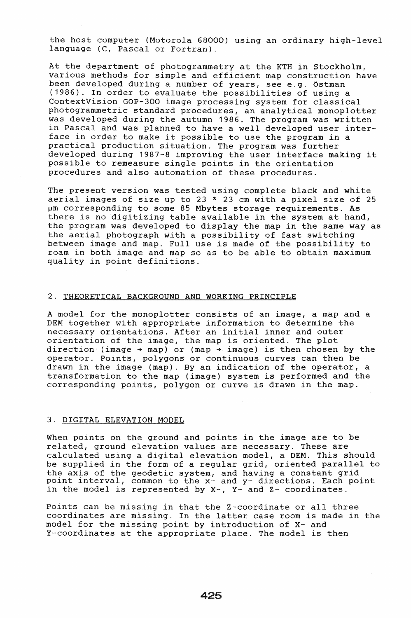the host computer (Motorola 68000) using an ordinary high-level language (C, Pascal or Fortran).

At the department of photogrammetry at the KTH in Stockholm, various methods for simple and efficient map construction have been developed during a number of years, see e.g. Östman (1986). In order to evaluate the possibilities of using a ContextVision GOP-300 image processing system for classical photogrammetric standard procedures, an analytical monoplotter was developed during the autumn 1986. The program was written in Pascal and was planned to have a well developed user interface in order to make it possible to use the program in a practical production situation. The program was further developed during 1987-8 improving the user interface making it possible to remeasure single points in the orientation procedures and also automation of these procedures.

The present version was tested using complete black and white aerial images of size up to 23  $*$  23 cm with a pixel size of 25 µm corresponding to some 85 Mbytes storage requirements. As there is no digitizing table available in the system at hand, the program was developed to display the map in the same way as the aerial photograph with a possibility of fast switching between image and map. Full use is made of the possibility to roam in both image and map so as to be able to obtain maximum quality in point definitions.

### 2. THEORETICAL BACKGROUND AND WORKING PRINCIPLE

A model for the monoplotter consists of an image, a map and a DEM together with appropriate information to determine the necessary orientations. After an initial inner and outer orientation of the image, the map is oriented. The plot direction (image  $+$  map) or (map  $+$  image) is then chosen by the operator. Points, polygons or continuous curves can then be drawn in the image (map). By an indication of the operator, a transformation to the map (image) system is performed and the corresponding points, polygon or curve is drawn in the map.

#### 3. DIGITAL ELEVATION MODEL

When points on the ground and points in the image are to be related, ground elevation values are necessary. These are calculated using a digital elevation model, a OEM. This should be supplied in the form of a regular grid, oriented parallel to the axis of the geodetic system, and having a constant grid point interval, common to the x- and y- directions. Each point in the model is represented by X-, Y- and Z- coordinates.

Points can be missing in that the Z-coordinate or all three coordinates are missing. In the latter case room is made in the model for the missing point by introduction of X- and Y-coordinates at the appropriate place. The model is then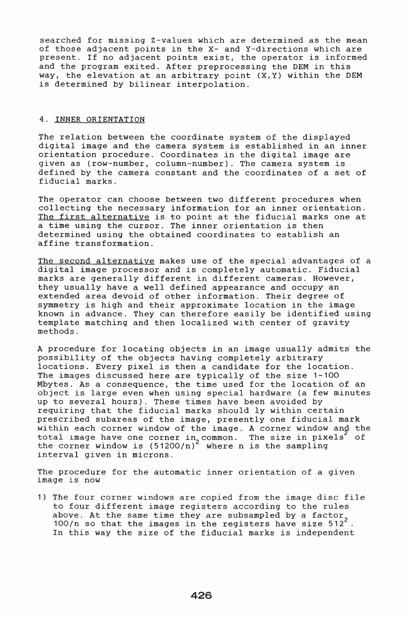searched for missing Z-values which are determined as the mean of those adjacent points in the x- and Y-directions which are present. If no adjacent points exist, the operator is informed and the program exited. After preprocessing the DEM in this way, the elevation at an arbitrary point (X,Y) within the DEM is determined by bilinear interpolation.

### 4. INNER ORIENTATION

The relation between the coordinate system of the displayed digital image and the camera system is established in an inner orientation procedure. Coordinates in the digital image are given as (row-number, column-number). The camera system is defined by 'the camera constant and the coordinates of a set of fiducial marks.

The operator can choose between two different procedures when collecting the necessary information for an inner orientation. The first alternative is to point at the fiducial marks one at a time using the cursor. The inner orientation is then determined using the obtained coordinates to establish an affine transformation.

The second alternative makes use of the special advantages of a digital image processor and is completely automatic. Fiducial marks are generally different in different cameras. However, they usually have a well defined appearance and occupy an extended area devoid of other information. Their degree of symmetry is high and their approximate location in the image known in advance. They can therefore easily be identified using template matching and then localized with center of gravity methods.

A procedure for locating objects in an image usually admits the possibility of the objects having completely arbitrary locations. Every pixel is then a candidate for the location. The images discussed here are typically of the size 1-100 Mbytes. As a consequence, the time used for the location of an object is large even when using special hardware (a few minutes up to several hours). These times have been avoided by requiring that the fiducial marks should ly within certain prescribed subareas of the image, presently one fiducial mark within each corner window of the image. A corner window and the total image have one corner in<sub>2</sub> common. The size in pixels of the corner window is  $(51200/n)^2$  where n is the sampling interval given in microns.

The procedure for the automatic inner orientation of a given image is now

1) The four corner windows are copied from the image disc file to four different image registers according to the rules above. At the same time they are subsampled by a factor 100/n so that the images in the registers have size 512<sup>2</sup>. In this way the size of the fiducial marks is independent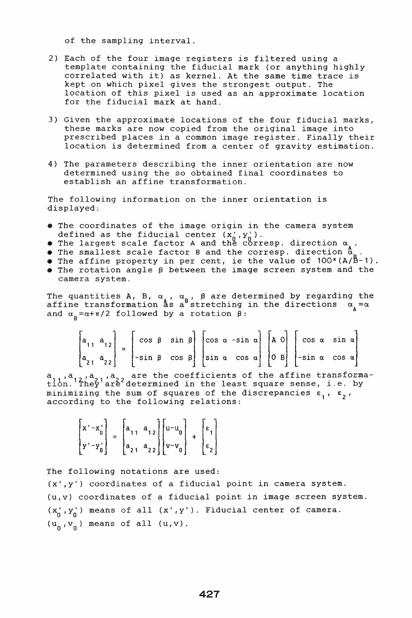of the sampling interval.

- 2) Each of the four image registers is filtered using a template containing the fiducial mark (or anything highly correlated with it) as kernel. At the same time trace is kept on which pixel gives the strongest output. The location of this pixel is used as an approximate location for the fiducial mark at hand.
- 3) Given the approximate locations of the four fiducial marks, these marks are now copied from the original image into prescribed places in a common image register. Finally their location is determined from a center of gravity estimation.
- 4) The parameters describing the inner orientation are now determined using the so obtained final coordinates to establish an affine transformation.

The following information on the inner orientation is displayed:

- The coordinates of the image origin in the camera system defined as the fiducial center  $(x_0^1, y_0^1)$ .
- The largest scale factor A and the corresp. direction  $\alpha_{\lambda}$ .
- The smallest scale factor B and the corresp. direction  $a$
- The affine property in per cent, ie the value of  $100*(A/B-1)$ .<br>• The rotation angle  $\beta$  between the image screen system and the
- camera system.

The quantities A, B,  $\alpha_{\lambda}$ ,  $\alpha_{\alpha}$ ,  $\beta$  are determined by regarding the affine transformation  $^{\alpha}$  as a stretching in the directions  $\alpha_{\alpha} = \alpha$  $\frac{1}{\alpha}$  and  $\frac{1}{\alpha}$  =  $\alpha + \pi/2$  followed by a rotation  $\beta$ :

|  | $\begin{bmatrix} a_{11} & a_{12} \\ a_{21} & a_{22} \end{bmatrix} = \begin{bmatrix} \cos \beta & \sin \beta \\ -\sin \beta & \cos \beta \end{bmatrix} \begin{bmatrix} \cos \alpha & -\sin \alpha \\ \sin \alpha & \cos \alpha \end{bmatrix} \begin{bmatrix} A & 0 \\ 0 & B \end{bmatrix} \begin{bmatrix} \cos \alpha & \sin \alpha \\ -\sin \alpha & \cos \alpha \end{bmatrix}$ |  |  |  |  |  |  |  |  |
|--|---------------------------------------------------------------------------------------------------------------------------------------------------------------------------------------------------------------------------------------------------------------------------------------------------------------------------------------------------------------------------------|--|--|--|--|--|--|--|--|
|  |                                                                                                                                                                                                                                                                                                                                                                                 |  |  |  |  |  |  |  |  |

a,,,a,,,a,,,a,, are the coefficients of the affine transforma-<br>tion. They are determined in the least square sense, i.e. by minimizing the sum of squares of the discrepancies  $\varepsilon_1$ ,  $\varepsilon_2$ , according to the following relations:

$$
\begin{bmatrix} x' - x_0' \\ y' - y_0' \end{bmatrix} = \begin{bmatrix} a_{11} & a_{12} \\ a_{21} & a_{22} \end{bmatrix} \begin{bmatrix} u - u_0 \\ v - v_0 \end{bmatrix} + \begin{bmatrix} \varepsilon_1 \\ \varepsilon_2 \end{bmatrix}
$$

The following notations are used:  $(x', y')$  coordinates of a fiducial point in camera system. (u,v) coordinates of a fiducial point in image screen system.  $(x_0^+, y_0^+)$  means of all  $(x^+, y^+)$ . Fiducial center of camera.  $(u_n, v_n)$  means of all  $(u, v)$ .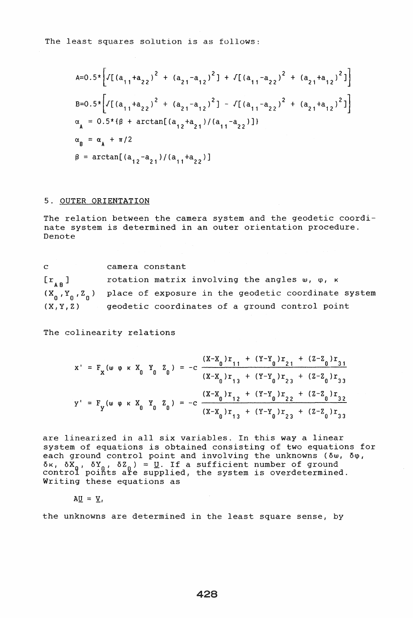$$
A=0.5*\left[\sqrt{[(a_{11}+a_{22})^2 + (a_{21}-a_{12})^2] + \sqrt{[(a_{11}-a_{22})^2 + (a_{21}+a_{12})^2]}}\right]
$$
  
\n
$$
B=0.5*\left[\sqrt{[(a_{11}+a_{22})^2 + (a_{21}-a_{12})^2] - \sqrt{[(a_{11}-a_{22})^2 + (a_{21}+a_{12})^2]}}\right]
$$
  
\n
$$
\alpha_A = 0.5*(\beta + \arctan[(a_{12}+a_{21})/(a_{11}-a_{22})])
$$
  
\n
$$
\alpha_B = \alpha_A + \pi/2
$$
  
\n
$$
\beta = \arctan[(a_{12}-a_{21})/(a_{11}+a_{22})]
$$

#### 5. OUTER ORIENTATION

The relation between the camera system and the geodetic coordinate system is determined in an outer orientation procedure. Denote

c  $[r_{\alpha} ]$  $(x_0, y_0, z_0)$  place of exposure in the geodetic coordinate system  $(X, Y, Z)$ camera constant rotation matrix involving the angles  $w, \varphi, \kappa$ geodetic coordinates of a ground control point

The colinearity relations

$$
x' = F_x(w \varphi \kappa X_0 Y_0 Z_0) = -c \frac{(X-X_0)r_{11} + (Y-Y_0)r_{21} + (Z-Z_0)r_{31}}{(X-X_0)r_{13} + (Y-Y_0)r_{23} + (Z-Z_0)r_{33}}
$$
  

$$
Y' = F_y(w \varphi \kappa X_0 Y_0 Z_0) = -c \frac{(X-X_0)r_{12} + (Y-Y_0)r_{22} + (Z-Z_0)r_{32}}{(X-X_0)r_{13} + (Y-Y_0)r_{23} + (Z-Z_0)r_{33}}
$$

are linearized in all six variables. In this way a linear system of equations is obtained consisting of two equations for each ground control point and involving the unknowns (δω, δφ,  $\delta$ k,  $\delta$ X<sub>0</sub>,  $\delta$ Y<sub>0</sub>,  $\delta$ Z<sub>0</sub>) = <u>U</u>. If a sufficient number of ground<br>control points are supplied, the system is overdetermined. Writing these equations as

 $AU = V.$ 

the unknowns are determined in the least square sense, by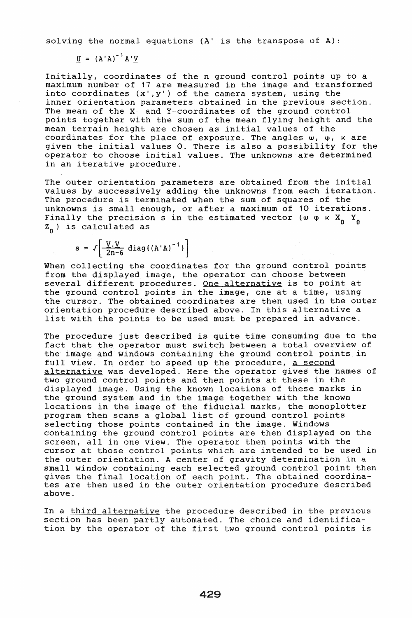solving the normal equations (A' is the transpose of A):

 $U = (A'A)^{-1}A'V$ 

Initially, coordinates of the n ground control points up to a maximum number of 17 are measured in the image and transformed into coordinates  $(x', y')$  of the camera system, using the inner orientation parameters obtained in the previous section. The mean of the X- and Y-coordinates of the ground control points together with the sum of the mean flying height and the mean terrain height are chosen as initial values of the coordinates for the place of exposure. The angles w,  $\varphi$ ,  $\kappa$  are given the initial values O. There is also a possibility for the operator to choose initial values. The unknowns are determined in an iterative procedure.

The outer orientation parameters are obtained from the initial values by successively adding the unknowns from each iteration. The procedure is terminated when the sum of squares of the unknowns is small enough, or after a maximum of 10 iterations. Finally the precision s in the estimated vector (w  $\varphi$   $\kappa$  X<sub>0</sub> Y<sub>0</sub>  $z_{0}$ ) is calculated as

 $s = \sqrt{\frac{V \cdot V}{2n-6}} diag({(A'A)}^{-1})$ 

When collecting the coordinates for the ground control points from the displayed image, the operator can choose between several different procedures. One alternative is to point at the ground control points in the image, one at a time, using the cursor. The obtained coordinates are then used in the outer orientation procedure described above. In this alternative a list with the points to be used must be prepared in advance.

The procedure just described is quite time consuming due to the fact that the operator must switch between a total overview of the image and windows containing the ground control points in full view. In order to speed up the procedure, a second alternative was developed. Here the operator gives the names of two ground control points and then points at these in the displayed image. Using the known locations of these marks in the ground system and in the image together with the known locations in the image of the fiducial marks, the monoplotter program then scans a global list of ground control points selecting those points contained in the image. Windows containing the ground control points are then displayed on the screen, all in one view. The operator then points with the cursor at those control points which are intended to be used in the outer orientation. A center of gravity determination in a small window containing each selected ground control point then gives the final location of each point. The obtained coordinates are then used in the outer orientation procedure described above.

In a third alternative the procedure described in the previous section has been partly automated. The choice and identification by the operator of the first two ground control points is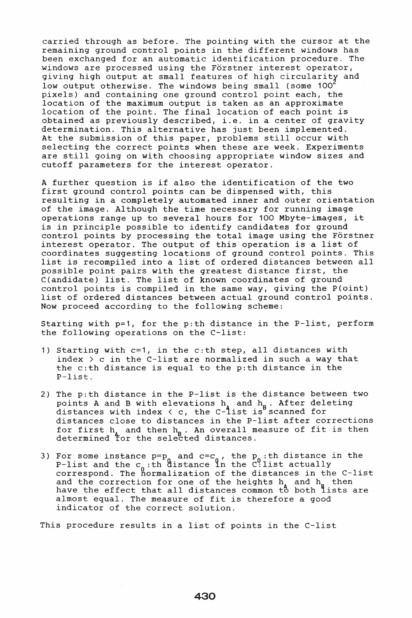carried through as before. The pointing with the cursor at the remaining ground control points in the different windows has been exchanged for an automatic identification procedure. The windows are processed using the Förstner interest operator, giving high output at small features of high circularity and low output otherwise. The windows being small (some 100<sup>2</sup> pixels) and containing one ground control point each, the pixels) and concaining one ground concret point caen, the location of the maximum output is taken as an approximate location of the point. The final location of each point is obtained as previously described, i.e. in a center of gravity determination. This alternative has just been implemented. At the submission of this paper, problems still occur with selecting the correct points when these are week. Experiments are still going on with choosing appropriate window sizes and cutoff parameters for the interest operator.

A further question is if also the identification of the two first ground control points can be dispensed with, this resulting in a completely automated inner and outer orientation of the image. Although the time necessary for running image operations range up to several hours for 100 Mbyte-images, it is in principle possible to identify candidates for ground control points by processing the total image using the Förstner interest operator. The output of this operation is a list of coordinates suggesting locations of ground control points. This list is recompiled into a list of ordered distances between all possible point pairs with the greatest distance first, the C(andidate) list. The list of known coordinates of ground control points is compiled in the same way, giving the P(oint) list of ordered distances between actual ground control points. Now proceed according to the following scheme:

Starting with p=1, for the p:th distance in the P-list, perform the following operations on the C-list:

- 1) Starting with c=1, in the c:th step, all distances with index  $>$  c in the C-list are normalized in such a way that the c:th distance is equal to the p:th distance in the P-list.
- 2) The p:th distance in the P-list is the distance between two points A and B with elevations  $h_{\lambda}$  and  $h_{\mu}$ . After deleting points A and B with crevations  $\mathbb{R}$  and  $\mathbb{R}$ . Also dered for distances with index  $\langle c,$  the C-1ist is scanned for distances close to distances in the P-list after corrections for first  $h_{\lambda}$  and then  $h_{\beta}$ . An overall measure of fit is then determined for the selected distances.
- 3) For some instance  $p=p_0$  and  $c=c_0$ , the  $p_0$ :th distance in the P-list and the  $c_n$ :th distance in the C<sup>0</sup>:list actually correspond. The normalization of the distances in the C-list and the correction for one of the heights  $h_{\lambda}$  and  $h_{\mu}$  then and the correction for one of the neights in and in their<br>have the effect that all distances common to both lists are almost equal. The measure of fit is therefore a good indicator of the correct solution.

This procedure results in a list of points in the C-list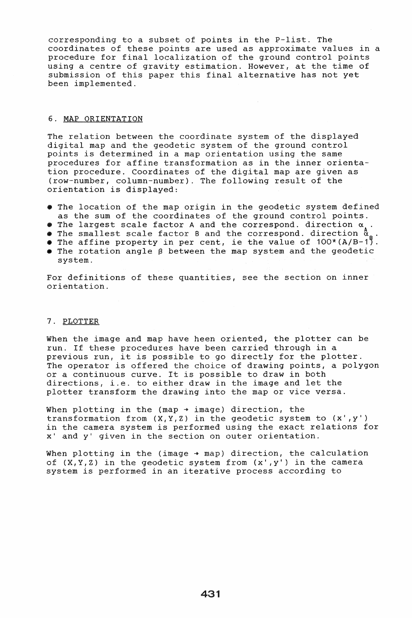corresponding to a subset of points in the P-list. The coordinates of these points are used as approximate values in a procedure for final localization of the ground control points using a centre of gravity estimation. However, at the time of submission of this paper this final alternative has not yet been implemented.

### 6. MAP ORIENTATION

The relation between the coordinate system of the displayed digital map and the geodetic system of the ground control points is determined in a map orientation using the same procedures for affine transformation as in the inner orientation procedure. Coordinates of the digital map are given as (row-number, column-number). The following result of the orientation is displayed:

- The location of the map origin in the geodetic system defined as the sum of the coordinates of the ground control points.
- The largest scale factor A and the correspond. direction  $\alpha$ .<br>• The smallest scale factor B and the correspond. direction  $\alpha$
- 
- The affine property in per cent, ie the value of  $100*(A/B-1)$ .
- $\bullet$  The rotation angle  $\beta$  between the map system and the geodetic system.

For definitions of these quantities, see the section on inner orientation.

# 7. PLOTTER

When the image and map have heen oriented, the plotter can be run. If these procedures have been carried through in a previous run, it is possible to go directly for the plotter. The operator is offered the choice of drawing points, a polygon or a continuous curve. It is possible to draw in both directions, i.e. to either draw in the image and let the plotter transform the drawing into the map or vice versa.

When plotting in the (map  $\rightarrow$  image) direction, the transformation from  $(X,Y,Z)$  in the geodetic system to  $(x',y')$ in the camera system is performed using the exact relations for x' and y' given in the section on outer orientation.

When plotting in the (image  $\rightarrow$  map) direction, the calculation of  $(X, Y, Z)$  in the geodetic system from  $(x', y')$  in the camera system is performed in an iterative process according to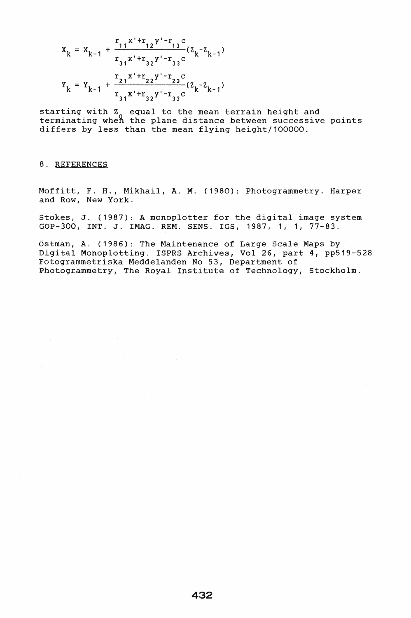$$
x_{k} = x_{k-1} + \frac{r_{11}x^{r_{1}}r_{12}y^{r_{1}}-r_{13}c}{r_{31}x^{r_{1}}r_{32}y^{r_{1}}-r_{33}c}(z_{k}-z_{k-1})
$$
  

$$
x_{k} = x_{k-1} + \frac{r_{21}x^{r_{1}}r_{22}y^{r_{2}}-r_{23}c}{r_{31}x^{r_{1}}r_{32}y^{r_{2}}-r_{33}c}(z_{k}-z_{k-1})
$$

starting with Z<sub>o</sub> equal to the mean terrain height and terminating when the plane distance between successive points differs by less than the mean flying height/100000.

## 8. REFERENCES

Moffitt, F. H., Mikhail, A. M. (1980): Photogrammetry. Harper and Row, New York.

Stokes, J. (1987): A monoplotter for the digital image system GOP-300, INT. J. IMAG. REM. SENS. IGS, 1987, 1, 1, 77-83.

Ostman, A. (1986): The Maintenance of Large Scale Maps by Digital Monoplotting. ISPRS Archives, Vol 26, part 4, pp519-528 Fotogrammetriska Meddelanden No 53, Department of Photogrammetry, The Royal Institute of Technology, Stockholm.